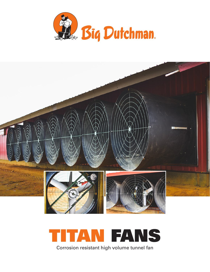